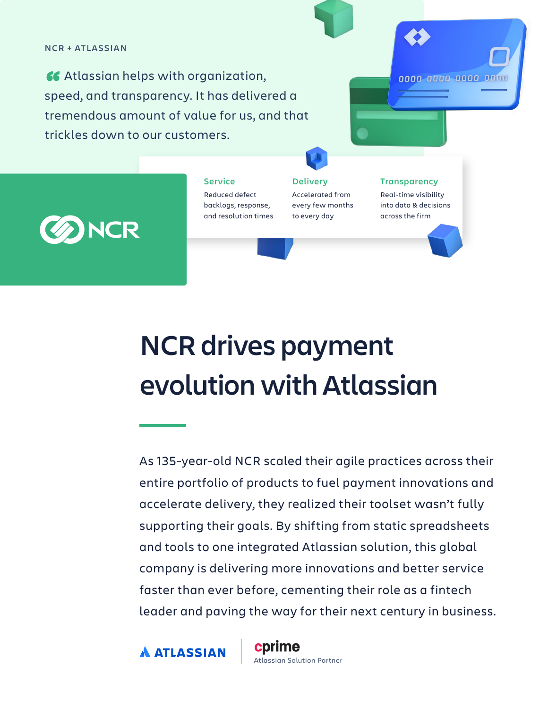### **NCR + ATLASSIAN**

Atlassian helps with organization, speed, and transparency. It has delivered a tremendous amount of value for us, and that trickles down to our customers.



Reduced defect backlogs, response, and resolution times **Service Delivery Transparency** 

Accelerated from every few months to every day

Real-time visibility into data & decisions across the firm

0000 0000 0000 0000

# **NCR drives payment evolution with Atlassian**

As 135-year-old NCR scaled their agile practices across their entire portfolio of products to fuel payment innovations and accelerate delivery, they realized their toolset wasn't fully supporting their goals. By shifting from static spreadsheets and tools to one integrated Atlassian solution, this global company is delivering more innovations and better service faster than ever before, cementing their role as a fintech leader and paving the way for their next century in business.

**A ATLASSIAN** 

cprime Atlassian Solution Partner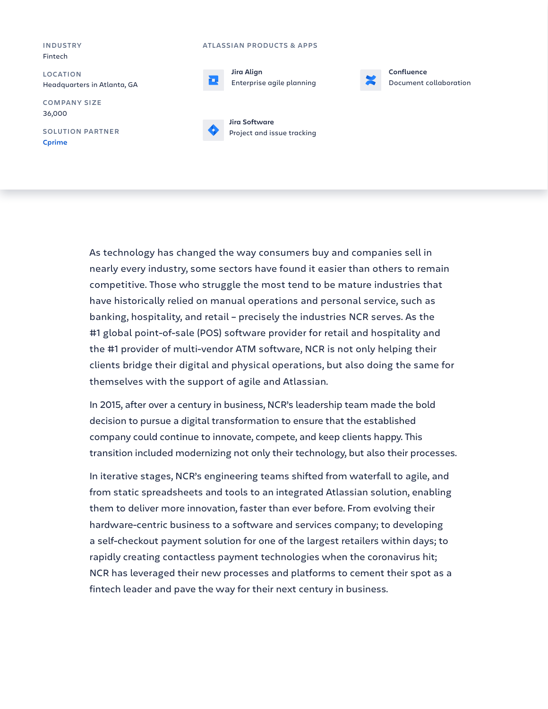#### **INDUSTRY** Fintech

**LOCATION** Headquarters in Atlanta, GA

**COMPANY SIZE** 36,000

**SOLUTION PARTNER Cp[rime](https://www.cprime.com/)**

#### **ATLASSIAN PRODUCTS & APPS**





**Confluence** Document collaboration



As technology has changed the way consumers buy and companies sell in nearly every industry, some sectors have found it easier than others to remain competitive. Those who struggle the most tend to be mature industries that have historically relied on manual operations and personal service, such as banking, hospitality, and retail – precisely the industries NCR serves. As the #1 global point-of-sale (POS) software provider for retail and hospitality and the #1 provider of multi-vendor ATM software, NCR is not only helping their clients bridge their digital and physical operations, but also doing the same for themselves with the support of agile and Atlassian.

In 2015, after over a century in business, NCR's leadership team made the bold decision to pursue a digital transformation to ensure that the established company could continue to innovate, compete, and keep clients happy. This transition included modernizing not only their technology, but also their processes.

In iterative stages, NCR's engineering teams shifted from waterfall to agile, and from static spreadsheets and tools to an integrated Atlassian solution, enabling them to deliver more innovation, faster than ever before. From evolving their hardware-centric business to a software and services company; to developing a self-checkout payment solution for one of the largest retailers within days; to rapidly creating contactless payment technologies when the coronavirus hit; NCR has leveraged their new processes and platforms to cement their spot as a fintech leader and pave the way for their next century in business.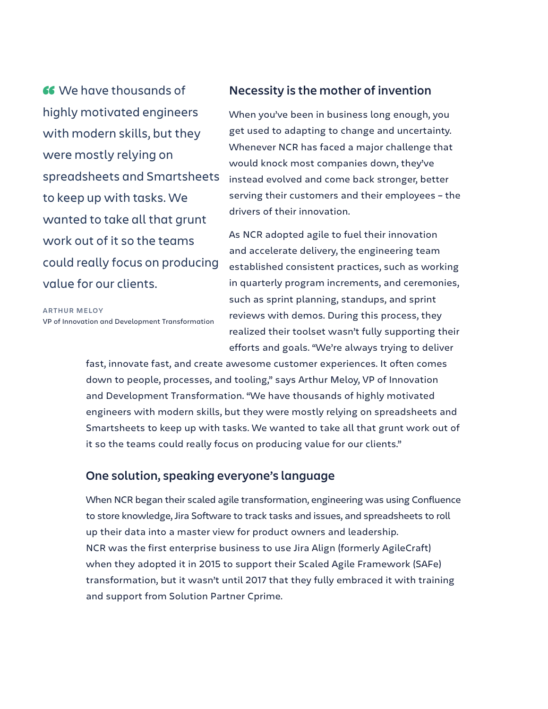We have thousands of highly motivated engineers with modern skills, but they were mostly relying on spreadsheets and Smartsheets to keep up with tasks. We wanted to take all that grunt work out of it so the teams could really focus on producing value for our clients.

**ARTHUR MELOY** VP of Innovation and Development Transformation

# **Necessity is the mother of invention**

When you've been in business long enough, you get used to adapting to change and uncertainty. Whenever NCR has faced a major challenge that would knock most companies down, they've instead evolved and come back stronger, better serving their customers and their employees – the drivers of their innovation.

As NCR adopted agile to fuel their innovation and accelerate delivery, the engineering team established consistent practices, such as working in quarterly program increments, and ceremonies, such as sprint planning, standups, and sprint reviews with demos. During this process, they realized their toolset wasn't fully supporting their efforts and goals. "We're always trying to deliver

fast, innovate fast, and create awesome customer experiences. It often comes down to people, processes, and tooling," says Arthur Meloy, VP of Innovation and Development Transformation. "We have thousands of highly motivated engineers with modern skills, but they were mostly relying on spreadsheets and Smartsheets to keep up with tasks. We wanted to take all that grunt work out of it so the teams could really focus on producing value for our clients."

# **One solution, speaking everyone's language**

When NCR began their scaled agile transformation, engineering was using Confluence to store knowledge, Jira Software to track tasks and issues, and spreadsheets to roll up their data into a master view for product owners and leadership. NCR was the first enterprise business to use Jira Align (formerly AgileCraft) when they adopted it in 2015 to support their Scaled Agile Framework (SAFe) transformation, but it wasn't until 2017 that they fully embraced it with training and support from Solution Partner Cprime.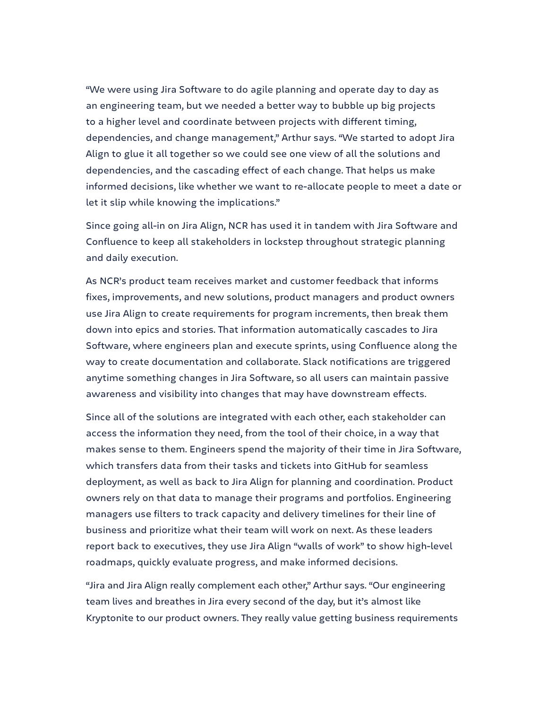"We were using Jira Software to do agile planning and operate day to day as an engineering team, but we needed a better way to bubble up big projects to a higher level and coordinate between projects with different timing, dependencies, and change management," Arthur says. "We started to adopt Jira Align to glue it all together so we could see one view of all the solutions and dependencies, and the cascading effect of each change. That helps us make informed decisions, like whether we want to re-allocate people to meet a date or let it slip while knowing the implications."

Since going all-in on Jira Align, NCR has used it in tandem with Jira Software and Confluence to keep all stakeholders in lockstep throughout strategic planning and daily execution.

As NCR's product team receives market and customer feedback that informs fixes, improvements, and new solutions, product managers and product owners use Jira Align to create requirements for program increments, then break them down into epics and stories. That information automatically cascades to Jira Software, where engineers plan and execute sprints, using Confluence along the way to create documentation and collaborate. Slack notifications are triggered anytime something changes in Jira Software, so all users can maintain passive awareness and visibility into changes that may have downstream effects.

Since all of the solutions are integrated with each other, each stakeholder can access the information they need, from the tool of their choice, in a way that makes sense to them. Engineers spend the majority of their time in Jira Software, which transfers data from their tasks and tickets into GitHub for seamless deployment, as well as back to Jira Align for planning and coordination. Product owners rely on that data to manage their programs and portfolios. Engineering managers use filters to track capacity and delivery timelines for their line of business and prioritize what their team will work on next. As these leaders report back to executives, they use Jira Align "walls of work" to show high-level roadmaps, quickly evaluate progress, and make informed decisions.

"Jira and Jira Align really complement each other," Arthur says. "Our engineering team lives and breathes in Jira every second of the day, but it's almost like Kryptonite to our product owners. They really value getting business requirements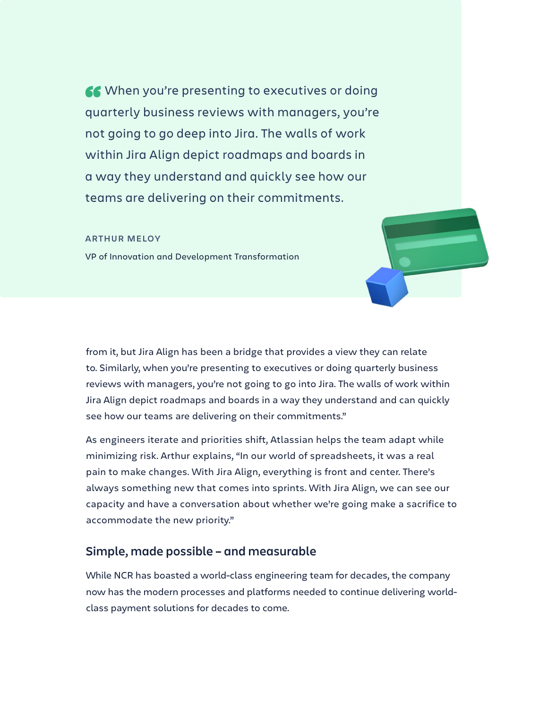66 When you're presenting to executives or doing quarterly business reviews with managers, you're not going to go deep into Jira. The walls of work within Jira Align depict roadmaps and boards in a way they understand and quickly see how our teams are delivering on their commitments.

#### **ARTHUR MELOY**

VP of Innovation and Development Transformation

from it, but Jira Align has been a bridge that provides a view they can relate to. Similarly, when you're presenting to executives or doing quarterly business reviews with managers, you're not going to go into Jira. The walls of work within Jira Align depict roadmaps and boards in a way they understand and can quickly see how our teams are delivering on their commitments."

As engineers iterate and priorities shift, Atlassian helps the team adapt while minimizing risk. Arthur explains, "In our world of spreadsheets, it was a real pain to make changes. With Jira Align, everything is front and center. There's always something new that comes into sprints. With Jira Align, we can see our capacity and have a conversation about whether we're going make a sacrifice to accommodate the new priority."

# **Simple, made possible – and measurable**

While NCR has boasted a world-class engineering team for decades, the company now has the modern processes and platforms needed to continue delivering worldclass payment solutions for decades to come.